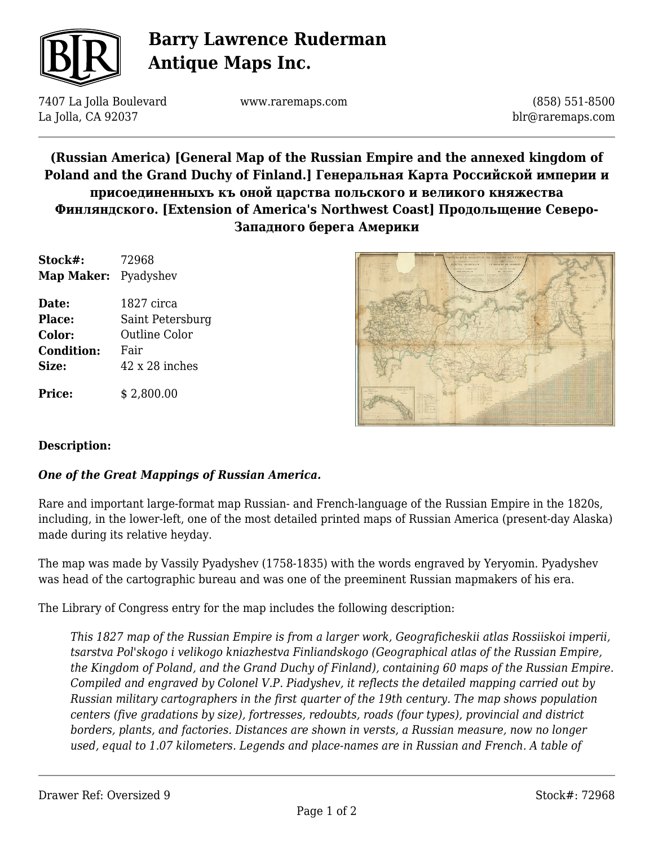

# **Barry Lawrence Ruderman Antique Maps Inc.**

7407 La Jolla Boulevard La Jolla, CA 92037

www.raremaps.com

(858) 551-8500 blr@raremaps.com

**(Russian America) [General Map of the Russian Empire and the annexed kingdom of Poland and the Grand Duchy of Finland.] Генеральная Карта Российской империи и присоединенныхъ къ оной царства польского и великого княжества Финляндского. [Extension of America's Northwest Coast] Продольщение Северо-Западного берега Америки**

| Stock#:<br>Map Maker: Pyadyshev | 72968                 |
|---------------------------------|-----------------------|
|                                 |                       |
| <b>Place:</b>                   | Saint Petersburg      |
| Color:                          | <b>Outline Color</b>  |
| <b>Condition:</b>               | Fair                  |
| Size:                           | $42 \times 28$ inches |
| <b>Price:</b>                   | \$2,800.00            |



### **Description:**

### *One of the Great Mappings of Russian America.*

Rare and important large-format map Russian- and French-language of the Russian Empire in the 1820s, including, in the lower-left, one of the most detailed printed maps of Russian America (present-day Alaska) made during its relative heyday.

The map was made by Vassily Pyadyshev (1758-1835) with the words engraved by Yeryomin. Pyadyshev was head of the cartographic bureau and was one of the preeminent Russian mapmakers of his era.

The Library of Congress entry for the map includes the following description:

*This 1827 map of the Russian Empire is from a larger work, Geograficheskii atlas Rossiiskoi imperii, tsarstva Pol'skogo i velikogo kniazhestva Finliandskogo (Geographical atlas of the Russian Empire, the Kingdom of Poland, and the Grand Duchy of Finland), containing 60 maps of the Russian Empire. Compiled and engraved by Colonel V.P. Piadyshev, it reflects the detailed mapping carried out by Russian military cartographers in the first quarter of the 19th century. The map shows population centers (five gradations by size), fortresses, redoubts, roads (four types), provincial and district borders, plants, and factories. Distances are shown in versts, a Russian measure, now no longer used, equal to 1.07 kilometers. Legends and place-names are in Russian and French. A table of*